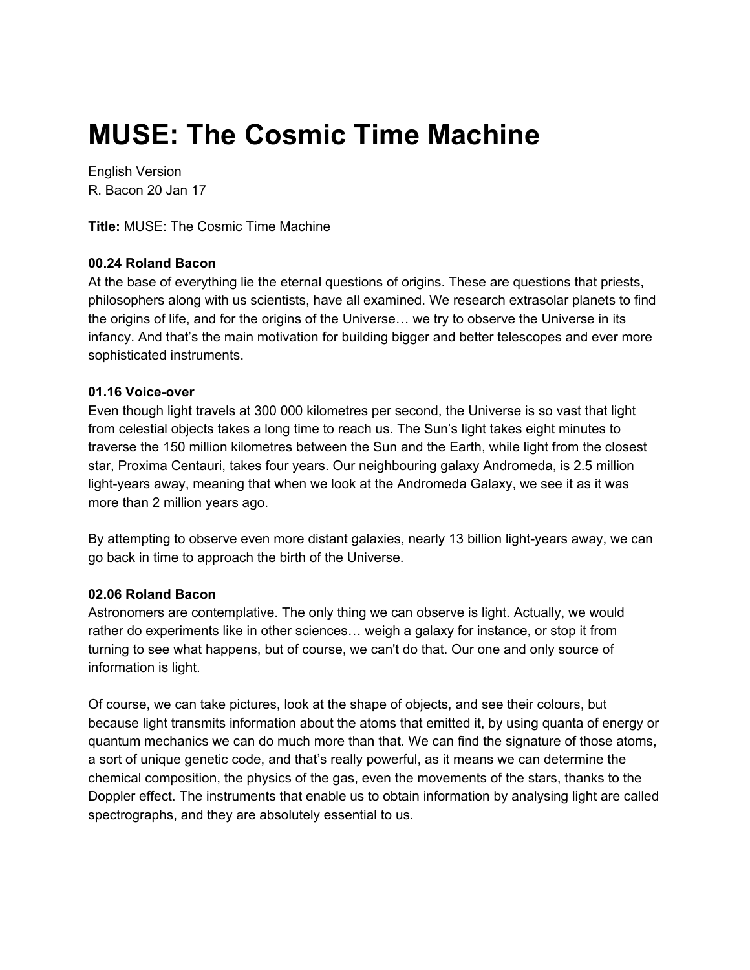# **MUSE: The Cosmic Time Machine**

English Version R. Bacon 20 Jan 17

**Title:** MUSE: The Cosmic Time Machine

## **00.24 Roland Bacon**

At the base of everything lie the eternal questions of origins. These are questions that priests, philosophers along with us scientists, have all examined. We research extrasolar planets to find the origins of life, and for the origins of the Universe… we try to observe the Universe in its infancy. And that's the main motivation for building bigger and better telescopes and ever more sophisticated instruments.

## **01.16 Voice-over**

Even though light travels at 300 000 kilometres per second, the Universe is so vast that light from celestial objects takes a long time to reach us. The Sun's light takes eight minutes to traverse the 150 million kilometres between the Sun and the Earth, while light from the closest star, Proxima Centauri, takes four years. Our neighbouring galaxy Andromeda, is 2.5 million light-years away, meaning that when we look at the Andromeda Galaxy, we see it as it was more than 2 million years ago.

By attempting to observe even more distant galaxies, nearly 13 billion light-years away, we can go back in time to approach the birth of the Universe.

## **02.06 Roland Bacon**

Astronomers are contemplative. The only thing we can observe is light. Actually, we would rather do experiments like in other sciences… weigh a galaxy for instance, or stop it from turning to see what happens, but of course, we can't do that. Our one and only source of information is light.

Of course, we can take pictures, look at the shape of objects, and see their colours, but because light transmits information about the atoms that emitted it, by using quanta of energy or quantum mechanics we can do much more than that. We can find the signature of those atoms, a sort of unique genetic code, and that's really powerful, as it means we can determine the chemical composition, the physics of the gas, even the movements of the stars, thanks to the Doppler effect. The instruments that enable us to obtain information by analysing light are called spectrographs, and they are absolutely essential to us.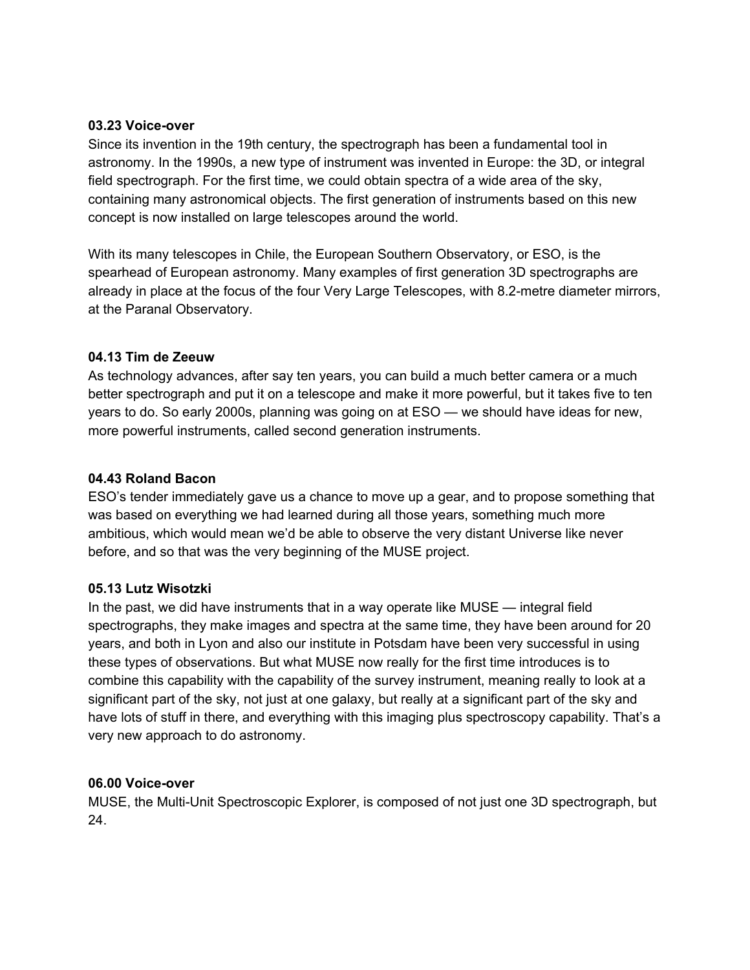#### **03.23 Voice-over**

Since its invention in the 19th century, the spectrograph has been a fundamental tool in astronomy. In the 1990s, a new type of instrument was invented in Europe: the 3D, or integral field spectrograph. For the first time, we could obtain spectra of a wide area of the sky, containing many astronomical objects. The first generation of instruments based on this new concept is now installed on large telescopes around the world.

With its many telescopes in Chile, the European Southern Observatory, or ESO, is the spearhead of European astronomy. Many examples of first generation 3D spectrographs are already in place at the focus of the four Very Large Telescopes, with 8.2-metre diameter mirrors, at the Paranal Observatory.

## **04.13 Tim de Zeeuw**

As technology advances, after say ten years, you can build a much better camera or a much better spectrograph and put it on a telescope and make it more powerful, but it takes five to ten years to do. So early 2000s, planning was going on at ESO — we should have ideas for new, more powerful instruments, called second generation instruments.

## **04.43 Roland Bacon**

ESO's tender immediately gave us a chance to move up a gear, and to propose something that was based on everything we had learned during all those years, something much more ambitious, which would mean we'd be able to observe the very distant Universe like never before, and so that was the very beginning of the MUSE project.

## **05.13 Lutz Wisotzki**

In the past, we did have instruments that in a way operate like MUSE — integral field spectrographs, they make images and spectra at the same time, they have been around for 20 years, and both in Lyon and also our institute in Potsdam have been very successful in using these types of observations. But what MUSE now really for the first time introduces is to combine this capability with the capability of the survey instrument, meaning really to look at a significant part of the sky, not just at one galaxy, but really at a significant part of the sky and have lots of stuff in there, and everything with this imaging plus spectroscopy capability. That's a very new approach to do astronomy.

## **06.00 Voice-over**

MUSE, the Multi-Unit Spectroscopic Explorer, is composed of not just one 3D spectrograph, but 24.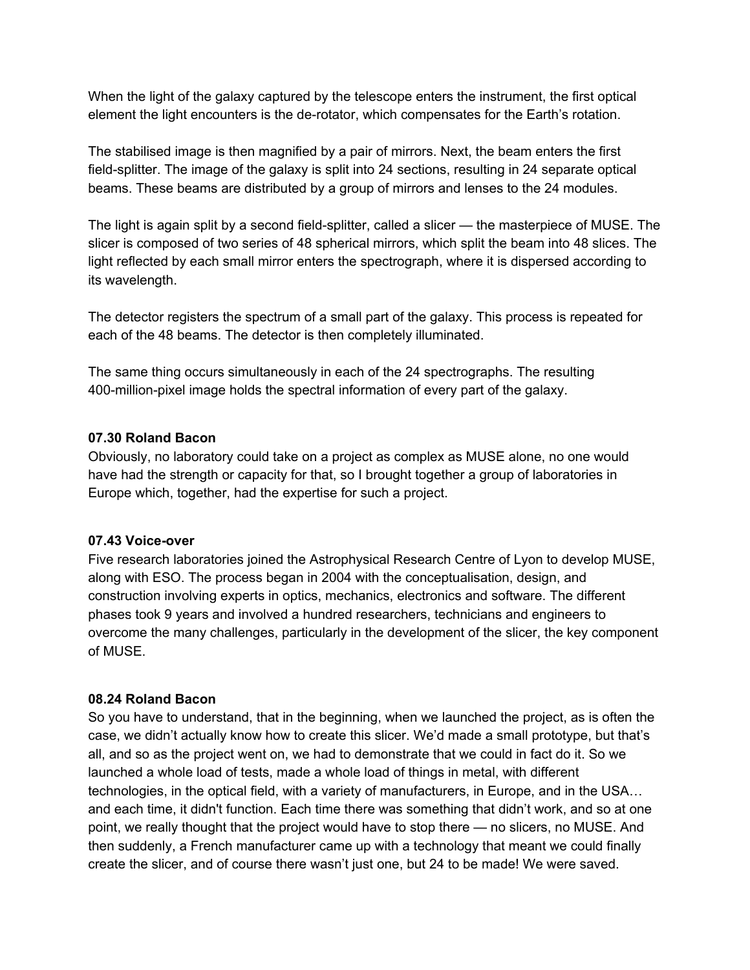When the light of the galaxy captured by the telescope enters the instrument, the first optical element the light encounters is the de-rotator, which compensates for the Earth's rotation.

The stabilised image is then magnified by a pair of mirrors. Next, the beam enters the first field-splitter. The image of the galaxy is split into 24 sections, resulting in 24 separate optical beams. These beams are distributed by a group of mirrors and lenses to the 24 modules.

The light is again split by a second field-splitter, called a slicer — the masterpiece of MUSE. The slicer is composed of two series of 48 spherical mirrors, which split the beam into 48 slices. The light reflected by each small mirror enters the spectrograph, where it is dispersed according to its wavelength.

The detector registers the spectrum of a small part of the galaxy. This process is repeated for each of the 48 beams. The detector is then completely illuminated.

The same thing occurs simultaneously in each of the 24 spectrographs. The resulting 400-million-pixel image holds the spectral information of every part of the galaxy.

## **07.30 Roland Bacon**

Obviously, no laboratory could take on a project as complex as MUSE alone, no one would have had the strength or capacity for that, so I brought together a group of laboratories in Europe which, together, had the expertise for such a project.

## **07.43 Voice-over**

Five research laboratories joined the Astrophysical Research Centre of Lyon to develop MUSE, along with ESO. The process began in 2004 with the conceptualisation, design, and construction involving experts in optics, mechanics, electronics and software. The different phases took 9 years and involved a hundred researchers, technicians and engineers to overcome the many challenges, particularly in the development of the slicer, the key component of MUSE.

## **08.24 Roland Bacon**

So you have to understand, that in the beginning, when we launched the project, as is often the case, we didn't actually know how to create this slicer. We'd made a small prototype, but that's all, and so as the project went on, we had to demonstrate that we could in fact do it. So we launched a whole load of tests, made a whole load of things in metal, with different technologies, in the optical field, with a variety of manufacturers, in Europe, and in the USA… and each time, it didn't function. Each time there was something that didn't work, and so at one point, we really thought that the project would have to stop there — no slicers, no MUSE. And then suddenly, a French manufacturer came up with a technology that meant we could finally create the slicer, and of course there wasn't just one, but 24 to be made! We were saved.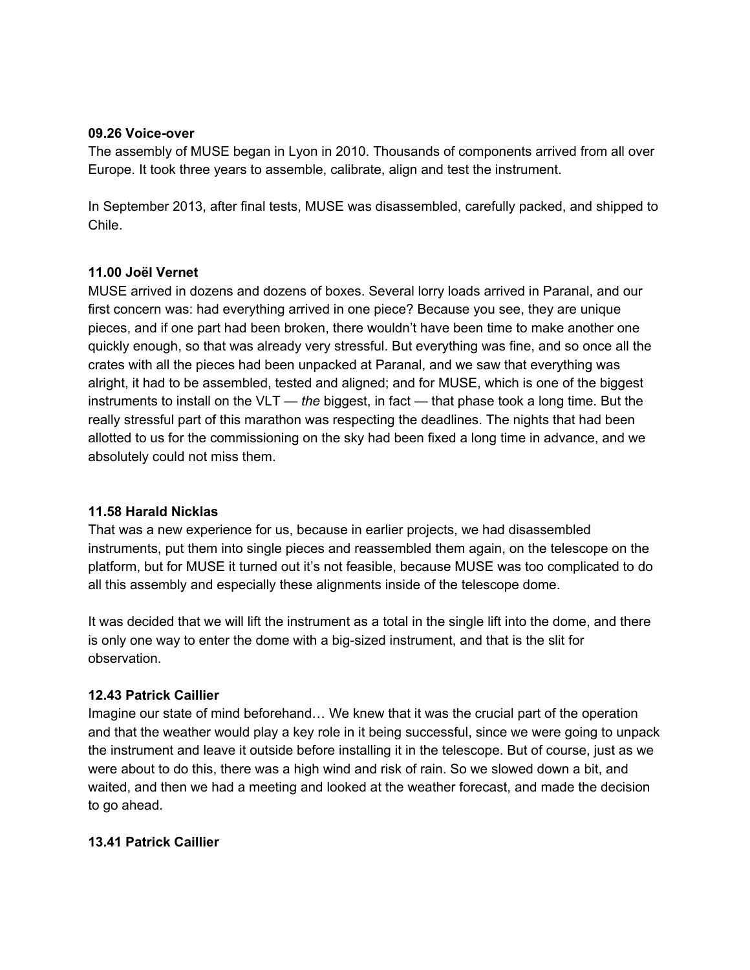#### **09.26 Voice-over**

The assembly of MUSE began in Lyon in 2010. Thousands of components arrived from all over Europe. It took three years to assemble, calibrate, align and test the instrument.

In September 2013, after final tests, MUSE was disassembled, carefully packed, and shipped to Chile.

## **11.00 Joël Vernet**

MUSE arrived in dozens and dozens of boxes. Several lorry loads arrived in Paranal, and our first concern was: had everything arrived in one piece? Because you see, they are unique pieces, and if one part had been broken, there wouldn't have been time to make another one quickly enough, so that was already very stressful. But everything was fine, and so once all the crates with all the pieces had been unpacked at Paranal, and we saw that everything was alright, it had to be assembled, tested and aligned; and for MUSE, which is one of the biggest instruments to install on the VLT — *the* biggest, in fact — that phase took a long time. But the really stressful part of this marathon was respecting the deadlines. The nights that had been allotted to us for the commissioning on the sky had been fixed a long time in advance, and we absolutely could not miss them.

## **11.58 Harald Nicklas**

That was a new experience for us, because in earlier projects, we had disassembled instruments, put them into single pieces and reassembled them again, on the telescope on the platform, but for MUSE it turned out it's not feasible, because MUSE was too complicated to do all this assembly and especially these alignments inside of the telescope dome.

It was decided that we will lift the instrument as a total in the single lift into the dome, and there is only one way to enter the dome with a big-sized instrument, and that is the slit for observation.

## **12.43 Patrick Caillier**

Imagine our state of mind beforehand… We knew that it was the crucial part of the operation and that the weather would play a key role in it being successful, since we were going to unpack the instrument and leave it outside before installing it in the telescope. But of course, just as we were about to do this, there was a high wind and risk of rain. So we slowed down a bit, and waited, and then we had a meeting and looked at the weather forecast, and made the decision to go ahead.

## **13.41 Patrick Caillier**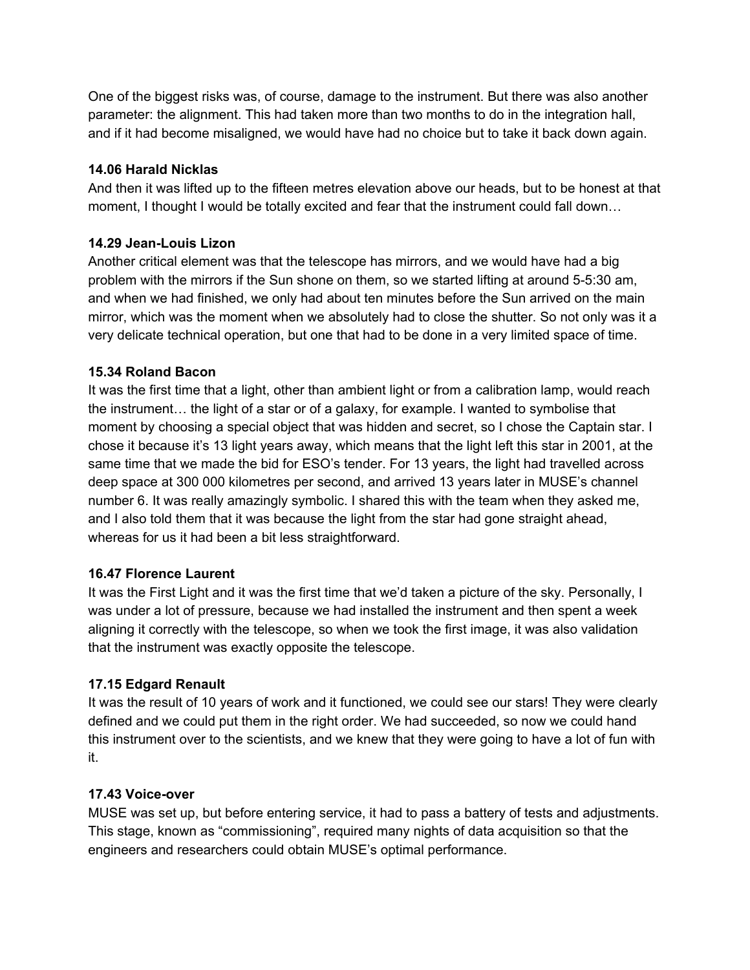One of the biggest risks was, of course, damage to the instrument. But there was also another parameter: the alignment. This had taken more than two months to do in the integration hall, and if it had become misaligned, we would have had no choice but to take it back down again.

## **14.06 Harald Nicklas**

And then it was lifted up to the fifteen metres elevation above our heads, but to be honest at that moment, I thought I would be totally excited and fear that the instrument could fall down…

# **14.29 Jean-Louis Lizon**

Another critical element was that the telescope has mirrors, and we would have had a big problem with the mirrors if the Sun shone on them, so we started lifting at around 5-5:30 am, and when we had finished, we only had about ten minutes before the Sun arrived on the main mirror, which was the moment when we absolutely had to close the shutter. So not only was it a very delicate technical operation, but one that had to be done in a very limited space of time.

## **15.34 Roland Bacon**

It was the first time that a light, other than ambient light or from a calibration lamp, would reach the instrument… the light of a star or of a galaxy, for example. I wanted to symbolise that moment by choosing a special object that was hidden and secret, so I chose the Captain star. I chose it because it's 13 light years away, which means that the light left this star in 2001, at the same time that we made the bid for ESO's tender. For 13 years, the light had travelled across deep space at 300 000 kilometres per second, and arrived 13 years later in MUSE's channel number 6. It was really amazingly symbolic. I shared this with the team when they asked me, and I also told them that it was because the light from the star had gone straight ahead, whereas for us it had been a bit less straightforward.

# **16.47 Florence Laurent**

It was the First Light and it was the first time that we'd taken a picture of the sky. Personally, I was under a lot of pressure, because we had installed the instrument and then spent a week aligning it correctly with the telescope, so when we took the first image, it was also validation that the instrument was exactly opposite the telescope.

# **17.15 Edgard Renault**

It was the result of 10 years of work and it functioned, we could see our stars! They were clearly defined and we could put them in the right order. We had succeeded, so now we could hand this instrument over to the scientists, and we knew that they were going to have a lot of fun with it.

## **17.43 Voice-over**

MUSE was set up, but before entering service, it had to pass a battery of tests and adjustments. This stage, known as "commissioning", required many nights of data acquisition so that the engineers and researchers could obtain MUSE's optimal performance.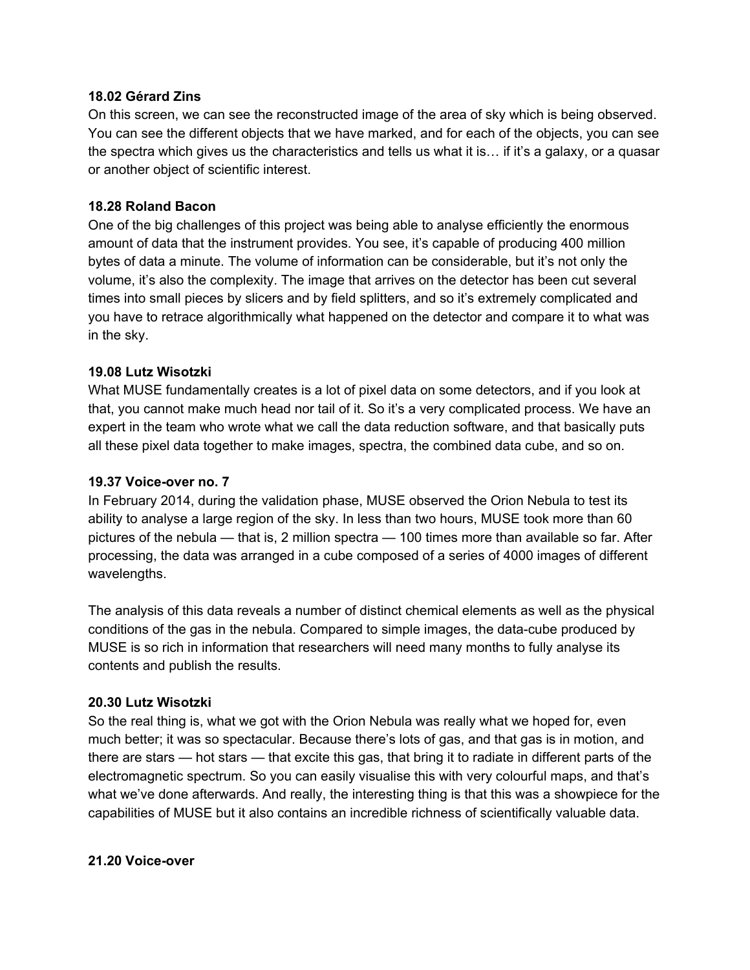#### **18.02 Gérard Zins**

On this screen, we can see the reconstructed image of the area of sky which is being observed. You can see the different objects that we have marked, and for each of the objects, you can see the spectra which gives us the characteristics and tells us what it is… if it's a galaxy, or a quasar or another object of scientific interest.

## **18.28 Roland Bacon**

One of the big challenges of this project was being able to analyse efficiently the enormous amount of data that the instrument provides. You see, it's capable of producing 400 million bytes of data a minute. The volume of information can be considerable, but it's not only the volume, it's also the complexity. The image that arrives on the detector has been cut several times into small pieces by slicers and by field splitters, and so it's extremely complicated and you have to retrace algorithmically what happened on the detector and compare it to what was in the sky.

## **19.08 Lutz Wisotzki**

What MUSE fundamentally creates is a lot of pixel data on some detectors, and if you look at that, you cannot make much head nor tail of it. So it's a very complicated process. We have an expert in the team who wrote what we call the data reduction software, and that basically puts all these pixel data together to make images, spectra, the combined data cube, and so on.

## **19.37 Voice-over no. 7**

In February 2014, during the validation phase, MUSE observed the Orion Nebula to test its ability to analyse a large region of the sky. In less than two hours, MUSE took more than 60 pictures of the nebula — that is, 2 million spectra — 100 times more than available so far. After processing, the data was arranged in a cube composed of a series of 4000 images of different wavelengths.

The analysis of this data reveals a number of distinct chemical elements as well as the physical conditions of the gas in the nebula. Compared to simple images, the data-cube produced by MUSE is so rich in information that researchers will need many months to fully analyse its contents and publish the results.

#### **20.30 Lutz Wisotzki**

So the real thing is, what we got with the Orion Nebula was really what we hoped for, even much better; it was so spectacular. Because there's lots of gas, and that gas is in motion, and there are stars — hot stars — that excite this gas, that bring it to radiate in different parts of the electromagnetic spectrum. So you can easily visualise this with very colourful maps, and that's what we've done afterwards. And really, the interesting thing is that this was a showpiece for the capabilities of MUSE but it also contains an incredible richness of scientifically valuable data.

#### **21.20 Voice-over**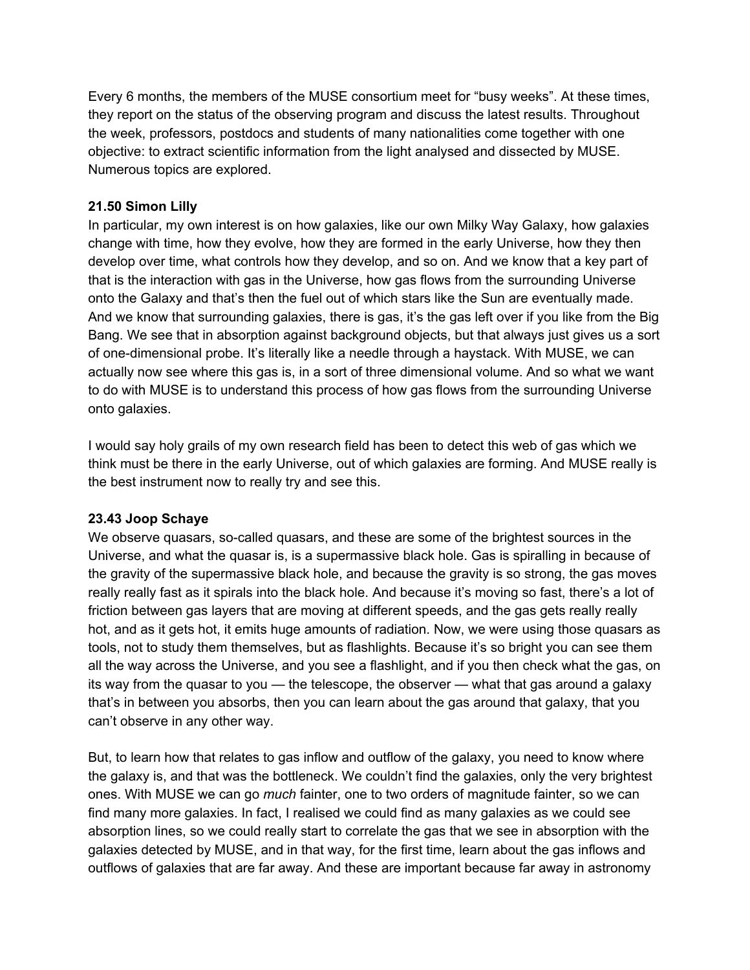Every 6 months, the members of the MUSE consortium meet for "busy weeks". At these times, they report on the status of the observing program and discuss the latest results. Throughout the week, professors, postdocs and students of many nationalities come together with one objective: to extract scientific information from the light analysed and dissected by MUSE. Numerous topics are explored.

## **21.50 Simon Lilly**

In particular, my own interest is on how galaxies, like our own Milky Way Galaxy, how galaxies change with time, how they evolve, how they are formed in the early Universe, how they then develop over time, what controls how they develop, and so on. And we know that a key part of that is the interaction with gas in the Universe, how gas flows from the surrounding Universe onto the Galaxy and that's then the fuel out of which stars like the Sun are eventually made. And we know that surrounding galaxies, there is gas, it's the gas left over if you like from the Big Bang. We see that in absorption against background objects, but that always just gives us a sort of one-dimensional probe. It's literally like a needle through a haystack. With MUSE, we can actually now see where this gas is, in a sort of three dimensional volume. And so what we want to do with MUSE is to understand this process of how gas flows from the surrounding Universe onto galaxies.

I would say holy grails of my own research field has been to detect this web of gas which we think must be there in the early Universe, out of which galaxies are forming. And MUSE really is the best instrument now to really try and see this.

## **23.43 Joop Schaye**

We observe quasars, so-called quasars, and these are some of the brightest sources in the Universe, and what the quasar is, is a supermassive black hole. Gas is spiralling in because of the gravity of the supermassive black hole, and because the gravity is so strong, the gas moves really really fast as it spirals into the black hole. And because it's moving so fast, there's a lot of friction between gas layers that are moving at different speeds, and the gas gets really really hot, and as it gets hot, it emits huge amounts of radiation. Now, we were using those quasars as tools, not to study them themselves, but as flashlights. Because it's so bright you can see them all the way across the Universe, and you see a flashlight, and if you then check what the gas, on its way from the quasar to you — the telescope, the observer — what that gas around a galaxy that's in between you absorbs, then you can learn about the gas around that galaxy, that you can't observe in any other way.

But, to learn how that relates to gas inflow and outflow of the galaxy, you need to know where the galaxy is, and that was the bottleneck. We couldn't find the galaxies, only the very brightest ones. With MUSE we can go *much* fainter, one to two orders of magnitude fainter, so we can find many more galaxies. In fact, I realised we could find as many galaxies as we could see absorption lines, so we could really start to correlate the gas that we see in absorption with the galaxies detected by MUSE, and in that way, for the first time, learn about the gas inflows and outflows of galaxies that are far away. And these are important because far away in astronomy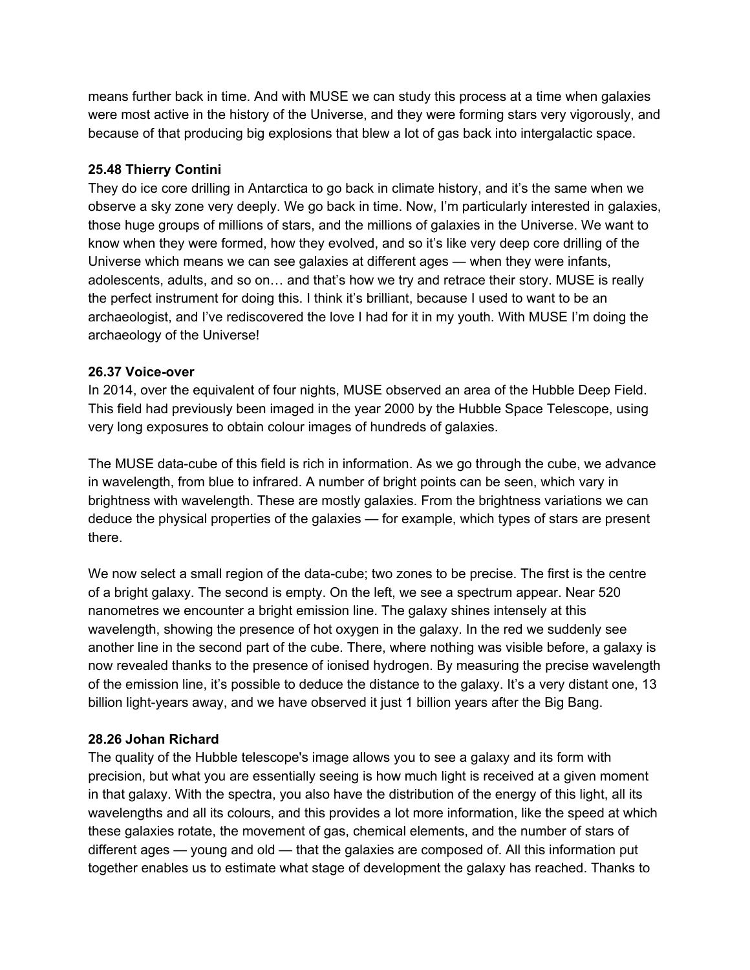means further back in time. And with MUSE we can study this process at a time when galaxies were most active in the history of the Universe, and they were forming stars very vigorously, and because of that producing big explosions that blew a lot of gas back into intergalactic space.

## **25.48 Thierry Contini**

They do ice core drilling in Antarctica to go back in climate history, and it's the same when we observe a sky zone very deeply. We go back in time. Now, I'm particularly interested in galaxies, those huge groups of millions of stars, and the millions of galaxies in the Universe. We want to know when they were formed, how they evolved, and so it's like very deep core drilling of the Universe which means we can see galaxies at different ages — when they were infants, adolescents, adults, and so on… and that's how we try and retrace their story. MUSE is really the perfect instrument for doing this. I think it's brilliant, because I used to want to be an archaeologist, and I've rediscovered the love I had for it in my youth. With MUSE I'm doing the archaeology of the Universe!

## **26.37 Voice-over**

In 2014, over the equivalent of four nights, MUSE observed an area of the Hubble Deep Field. This field had previously been imaged in the year 2000 by the Hubble Space Telescope, using very long exposures to obtain colour images of hundreds of galaxies.

The MUSE data-cube of this field is rich in information. As we go through the cube, we advance in wavelength, from blue to infrared. A number of bright points can be seen, which vary in brightness with wavelength. These are mostly galaxies. From the brightness variations we can deduce the physical properties of the galaxies — for example, which types of stars are present there.

We now select a small region of the data-cube; two zones to be precise. The first is the centre of a bright galaxy. The second is empty. On the left, we see a spectrum appear. Near 520 nanometres we encounter a bright emission line. The galaxy shines intensely at this wavelength, showing the presence of hot oxygen in the galaxy. In the red we suddenly see another line in the second part of the cube. There, where nothing was visible before, a galaxy is now revealed thanks to the presence of ionised hydrogen. By measuring the precise wavelength of the emission line, it's possible to deduce the distance to the galaxy. It's a very distant one, 13 billion light-years away, and we have observed it just 1 billion years after the Big Bang.

# **28.26 Johan Richard**

The quality of the Hubble telescope's image allows you to see a galaxy and its form with precision, but what you are essentially seeing is how much light is received at a given moment in that galaxy. With the spectra, you also have the distribution of the energy of this light, all its wavelengths and all its colours, and this provides a lot more information, like the speed at which these galaxies rotate, the movement of gas, chemical elements, and the number of stars of different ages — young and old — that the galaxies are composed of. All this information put together enables us to estimate what stage of development the galaxy has reached. Thanks to